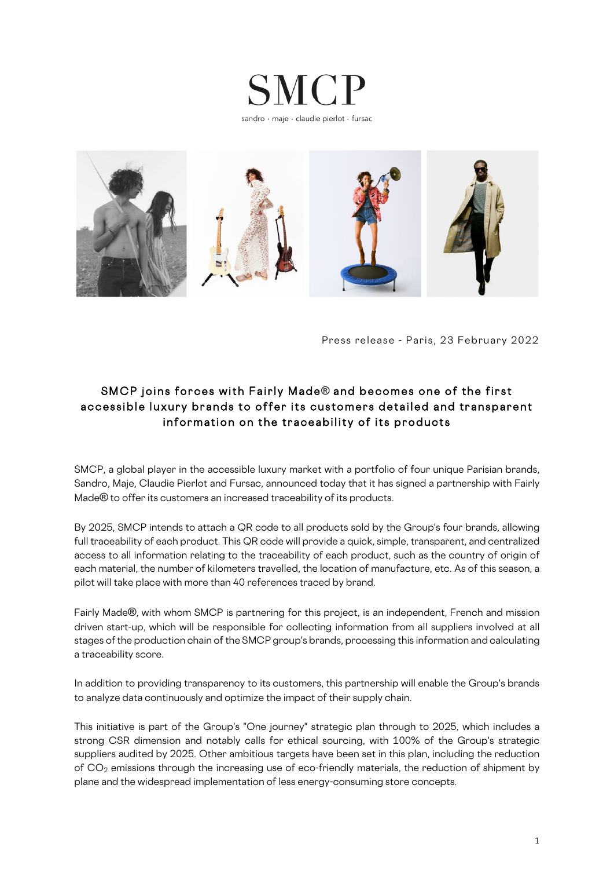



Press release - Paris, 23 February 2022

# SMCP joins forces with Fairly Made**®** and becomes one of the first accessible luxury brands to offer its customers detailed and transparent information on the traceability of its products

SMCP, a global player in the accessible luxury market with a portfolio of four unique Parisian brands, Sandro, Maje, Claudie Pierlot and Fursac, announced today that it has signed a partnership with Fairly Made**®** to offer its customers an increased traceability of its products.

By 2025, SMCP intends to attach a QR code to all products sold by the Group's four brands, allowing full traceability of each product. This QR code will provide a quick, simple, transparent, and centralized access to all information relating to the traceability of each product, such as the country of origin of each material, the number of kilometers travelled, the location of manufacture, etc. As of this season, a pilot will take place with more than 40 references traced by brand.

Fairly Made**®**, with whom SMCP is partnering for this project, is an independent, French and mission driven start-up, which will be responsible for collecting information from all suppliers involved at all stages of the production chain of the SMCP group's brands, processing this information and calculating a traceability score.

In addition to providing transparency to its customers, this partnership will enable the Group's brands to analyze data continuously and optimize the impact of their supply chain.

This initiative is part of the Group's "One journey" strategic plan through to 2025, which includes a strong CSR dimension and notably calls for ethical sourcing, with 100% of the Group's strategic suppliers audited by 2025. Other ambitious targets have been set in this plan, including the reduction of CO<sub>2</sub> emissions through the increasing use of eco-friendly materials, the reduction of shipment by plane and the widespread implementation of less energy-consuming store concepts.